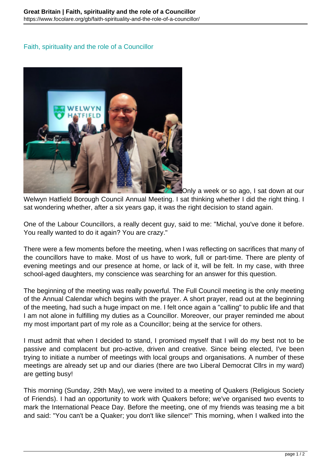## Faith, spirituality and the role of a Councillor



Only a week or so ago, I sat down at our Welwyn Hatfield Borough Council Annual Meeting. I sat thinking whether I did the right thing. I sat wondering whether, after a six years gap, it was the right decision to stand again.

One of the Labour Councillors, a really decent guy, said to me: "Michal, you've done it before. You really wanted to do it again? You are crazy."

There were a few moments before the meeting, when I was reflecting on sacrifices that many of the councillors have to make. Most of us have to work, full or part-time. There are plenty of evening meetings and our presence at home, or lack of it, will be felt. In my case, with three school-aged daughters, my conscience was searching for an answer for this question.

The beginning of the meeting was really powerful. The Full Council meeting is the only meeting of the Annual Calendar which begins with the prayer. A short prayer, read out at the beginning of the meeting, had such a huge impact on me. I felt once again a "calling" to public life and that I am not alone in fulfilling my duties as a Councillor. Moreover, our prayer reminded me about my most important part of my role as a Councillor; being at the service for others.

I must admit that when I decided to stand, I promised myself that I will do my best not to be passive and complacent but pro-active, driven and creative. Since being elected, I've been trying to initiate a number of meetings with local groups and organisations. A number of these meetings are already set up and our diaries (there are two Liberal Democrat Cllrs in my ward) are getting busy!

This morning (Sunday, 29th May), we were invited to a meeting of Quakers (Religious Society of Friends). I had an opportunity to work with Quakers before; we've organised two events to mark the International Peace Day. Before the meeting, one of my friends was teasing me a bit and said: "You can't be a Quaker; you don't like silence!" This morning, when I walked into the